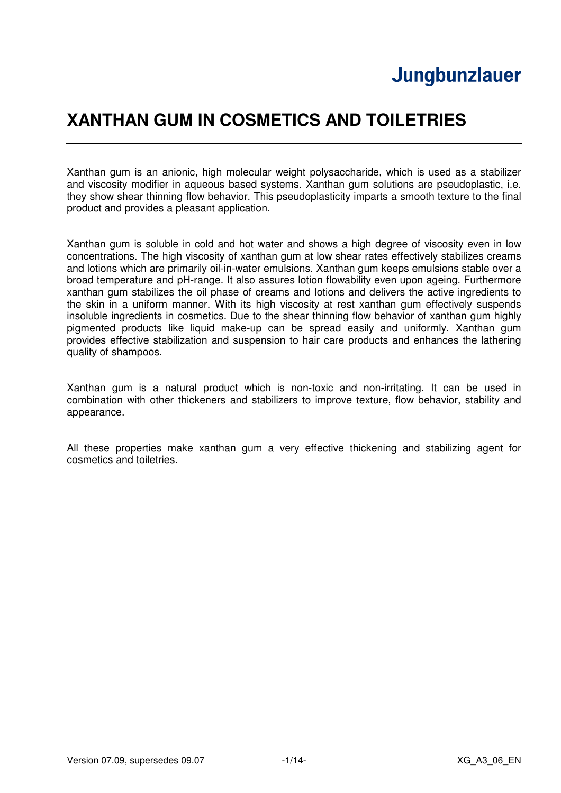# **Jungbunzlauer**

# **XANTHAN GUM IN COSMETICS AND TOILETRIES**

Xanthan gum is an anionic, high molecular weight polysaccharide, which is used as a stabilizer and viscosity modifier in aqueous based systems. Xanthan gum solutions are pseudoplastic, i.e. they show shear thinning flow behavior. This pseudoplasticity imparts a smooth texture to the final product and provides a pleasant application.

Xanthan gum is soluble in cold and hot water and shows a high degree of viscosity even in low concentrations. The high viscosity of xanthan gum at low shear rates effectively stabilizes creams and lotions which are primarily oil-in-water emulsions. Xanthan gum keeps emulsions stable over a broad temperature and pH-range. It also assures lotion flowability even upon ageing. Furthermore xanthan gum stabilizes the oil phase of creams and lotions and delivers the active ingredients to the skin in a uniform manner. With its high viscosity at rest xanthan gum effectively suspends insoluble ingredients in cosmetics. Due to the shear thinning flow behavior of xanthan gum highly pigmented products like liquid make-up can be spread easily and uniformly. Xanthan gum provides effective stabilization and suspension to hair care products and enhances the lathering quality of shampoos.

Xanthan gum is a natural product which is non-toxic and non-irritating. It can be used in combination with other thickeners and stabilizers to improve texture, flow behavior, stability and appearance.

All these properties make xanthan gum a very effective thickening and stabilizing agent for cosmetics and toiletries.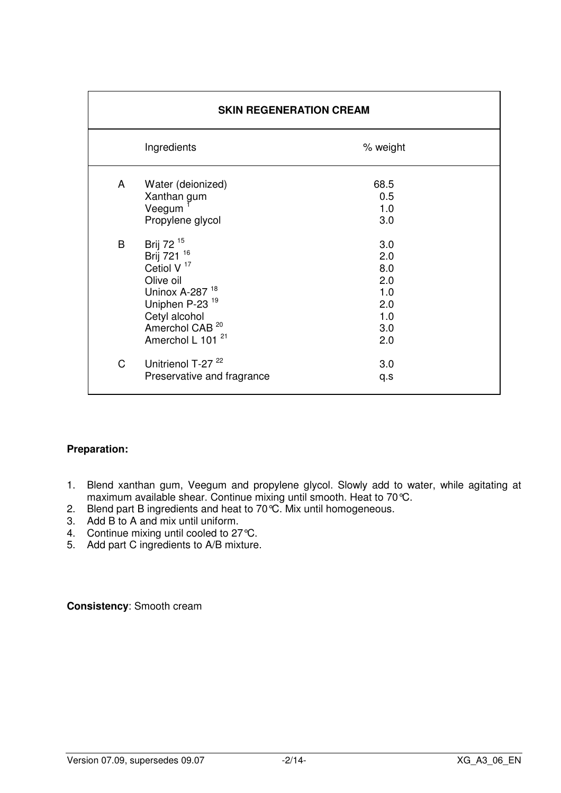|   | <b>SKIN REGENERATION CREAM</b>                                                                                                                                                                                |                                                             |  |
|---|---------------------------------------------------------------------------------------------------------------------------------------------------------------------------------------------------------------|-------------------------------------------------------------|--|
|   | Ingredients                                                                                                                                                                                                   | % weight                                                    |  |
| A | Water (deionized)<br>Xanthan gum<br>Veegum <sup>T</sup><br>Propylene glycol                                                                                                                                   | 68.5<br>0.5<br>1.0<br>3.0                                   |  |
| B | Brij 72 <sup>15</sup><br>Brij 721 16<br>Cetiol V $17$<br>Olive oil<br>Uninox A-287 <sup>18</sup><br>Uniphen P-23 <sup>19</sup><br>Cetyl alcohol<br>Amerchol CAB <sup>20</sup><br>Amerchol L 101 <sup>21</sup> | 3.0<br>2.0<br>8.0<br>2.0<br>1.0<br>2.0<br>1.0<br>3.0<br>2.0 |  |
| C | Unitrienol T-27 <sup>22</sup><br>Preservative and fragrance                                                                                                                                                   | 3.0<br>q.s                                                  |  |

- 1. Blend xanthan gum, Veegum and propylene glycol. Slowly add to water, while agitating at maximum available shear. Continue mixing until smooth. Heat to 70°C.
- 2. Blend part B ingredients and heat to 70°C. Mix until homogeneous.
- 3. Add B to A and mix until uniform.
- 4. Continue mixing until cooled to 27 °C.
- 5. Add part C ingredients to A/B mixture.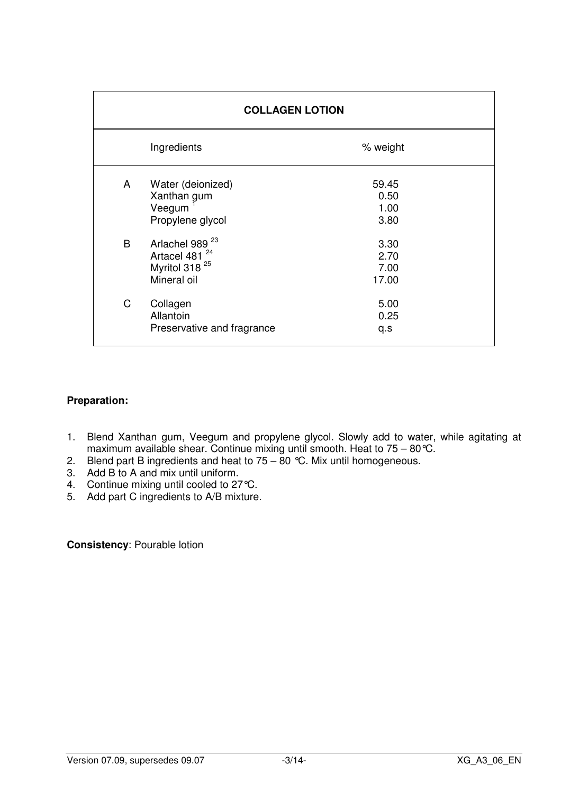| <b>COLLAGEN LOTION</b> |                                                                                                     |                               |
|------------------------|-----------------------------------------------------------------------------------------------------|-------------------------------|
|                        | Ingredients                                                                                         | % weight                      |
| A                      | Water (deionized)<br>Xanthan gum<br>Veegum<br>Propylene glycol                                      | 59.45<br>0.50<br>1.00<br>3.80 |
| B                      | Arlachel 989 <sup>23</sup><br>Artacel 481 <sup>24</sup><br>Myritol 318 <sup>25</sup><br>Mineral oil | 3.30<br>2.70<br>7.00<br>17.00 |
| C                      | Collagen<br>Allantoin<br>Preservative and fragrance                                                 | 5.00<br>0.25<br>q.s           |

- 1. Blend Xanthan gum, Veegum and propylene glycol. Slowly add to water, while agitating at maximum available shear. Continue mixing until smooth. Heat to 75 – 80°C.
- 2. Blend part B ingredients and heat to 75 80 °C. Mix until homogeneous.
- 3. Add B to A and mix until uniform.
- 4. Continue mixing until cooled to 27 °C.
- 5. Add part C ingredients to A/B mixture.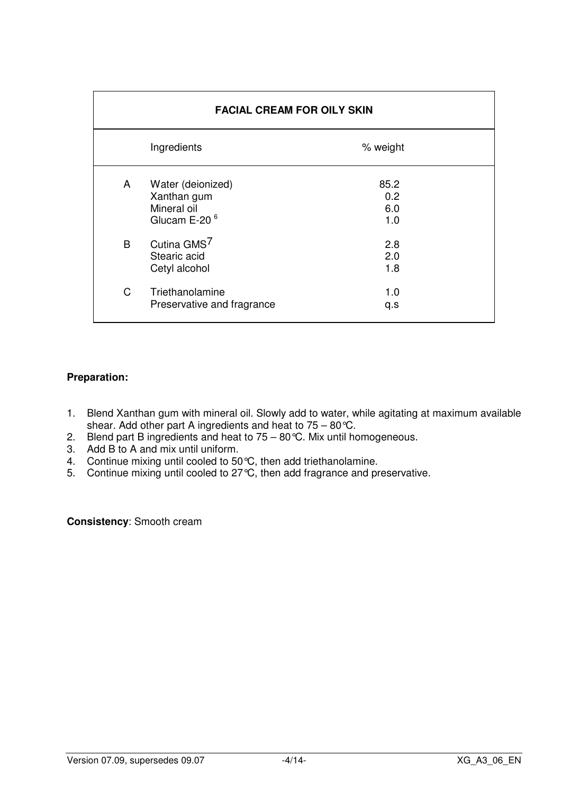|              | <b>FACIAL CREAM FOR OILY SKIN</b>                                           |                           |  |
|--------------|-----------------------------------------------------------------------------|---------------------------|--|
|              | Ingredients                                                                 | % weight                  |  |
| A            | Water (deionized)<br>Xanthan gum<br>Mineral oil<br>Glucam E-20 <sup>6</sup> | 85.2<br>0.2<br>6.0<br>1.0 |  |
| B            | Cutina GMS <sup>7</sup><br>Stearic acid<br>Cetyl alcohol                    | 2.8<br>2.0<br>1.8         |  |
| $\mathsf{C}$ | Triethanolamine<br>Preservative and fragrance                               | 1.0<br>q.s                |  |

- 1. Blend Xanthan gum with mineral oil. Slowly add to water, while agitating at maximum available shear. Add other part A ingredients and heat to 75 – 80°C.
- 2. Blend part B ingredients and heat to 75 80 °C. Mix until homogeneous.
- 3. Add B to A and mix until uniform.
- 4. Continue mixing until cooled to 50 °C, then add triethanolamine.
- 5. Continue mixing until cooled to 27°C, then add fragrance and preservative.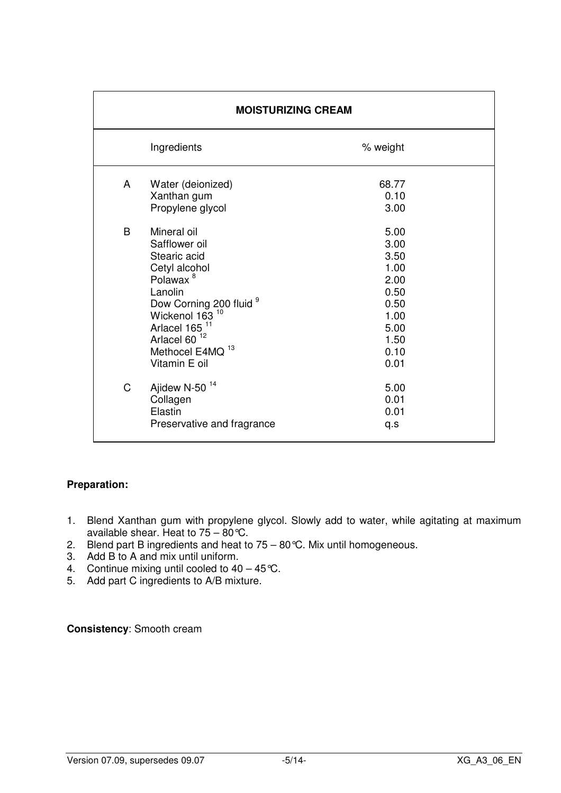| <b>MOISTURIZING CREAM</b> |                                                                                                                                                                                                                                                                               |                                                                                              |
|---------------------------|-------------------------------------------------------------------------------------------------------------------------------------------------------------------------------------------------------------------------------------------------------------------------------|----------------------------------------------------------------------------------------------|
|                           | Ingredients                                                                                                                                                                                                                                                                   | % weight                                                                                     |
| A                         | Water (deionized)<br>Xanthan gum<br>Propylene glycol                                                                                                                                                                                                                          | 68.77<br>0.10<br>3.00                                                                        |
| B                         | Mineral oil<br>Safflower oil<br>Stearic acid<br>Cetyl alcohol<br>Polawax <sup>8</sup><br>Lanolin<br>Dow Corning 200 fluid <sup>9</sup><br>Wickenol 163 <sup>10</sup><br>Arlacel 165 <sup>11</sup><br>Arlacel 60 <sup>12</sup><br>Methocel E4MQ <sup>13</sup><br>Vitamin E oil | 5.00<br>3.00<br>3.50<br>1.00<br>2.00<br>0.50<br>0.50<br>1.00<br>5.00<br>1.50<br>0.10<br>0.01 |
| C                         | Ajidew N-50 <sup>14</sup><br>Collagen<br>Elastin<br>Preservative and fragrance                                                                                                                                                                                                | 5.00<br>0.01<br>0.01<br>q.s                                                                  |

- 1. Blend Xanthan gum with propylene glycol. Slowly add to water, while agitating at maximum available shear. Heat to 75 – 80 °C.
- 2. Blend part B ingredients and heat to 75 80 °C. Mix until homogeneous.
- 3. Add B to A and mix until uniform.
- 4. Continue mixing until cooled to  $40 45$ °C.
- 5. Add part C ingredients to A/B mixture.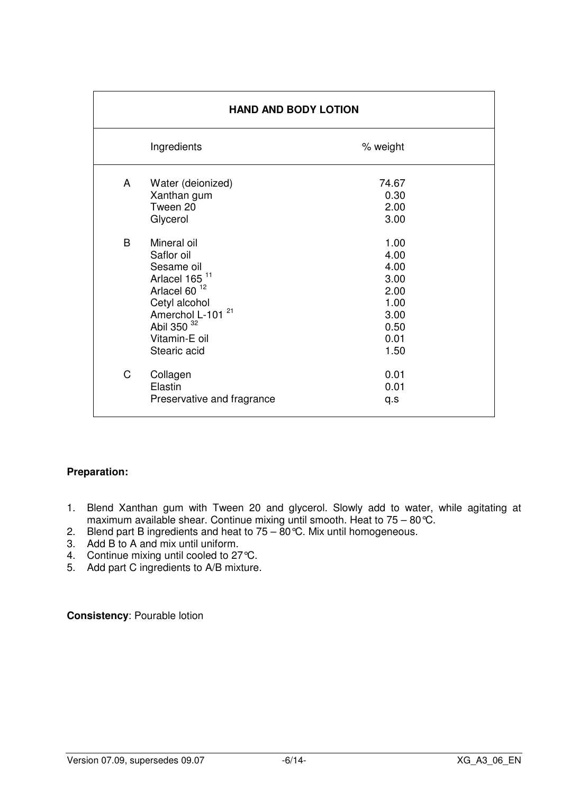| <b>HAND AND BODY LOTION</b> |                                                                                                                                                                                                      |                                                                              |
|-----------------------------|------------------------------------------------------------------------------------------------------------------------------------------------------------------------------------------------------|------------------------------------------------------------------------------|
|                             | Ingredients                                                                                                                                                                                          | % weight                                                                     |
| A                           | Water (deionized)<br>Xanthan gum<br>Tween 20<br>Glycerol                                                                                                                                             | 74.67<br>0.30<br>2.00<br>3.00                                                |
| B                           | Mineral oil<br>Saflor oil<br>Sesame oil<br>Arlacel 165 <sup>11</sup><br>Arlacel 60 <sup>12</sup><br>Cetyl alcohol<br>21<br>Amerchol L-101<br>Abil 350 <sup>32</sup><br>Vitamin-E oil<br>Stearic acid | 1.00<br>4.00<br>4.00<br>3.00<br>2.00<br>1.00<br>3.00<br>0.50<br>0.01<br>1.50 |
| C                           | Collagen<br>Elastin<br>Preservative and fragrance                                                                                                                                                    | 0.01<br>0.01<br>q.s                                                          |

- 1. Blend Xanthan gum with Tween 20 and glycerol. Slowly add to water, while agitating at maximum available shear. Continue mixing until smooth. Heat to 75 – 80°C.
- 2. Blend part B ingredients and heat to  $75 80$  °C. Mix until homogeneous.
- 3. Add B to A and mix until uniform.
- 4. Continue mixing until cooled to 27 °C.
- 5. Add part C ingredients to A/B mixture.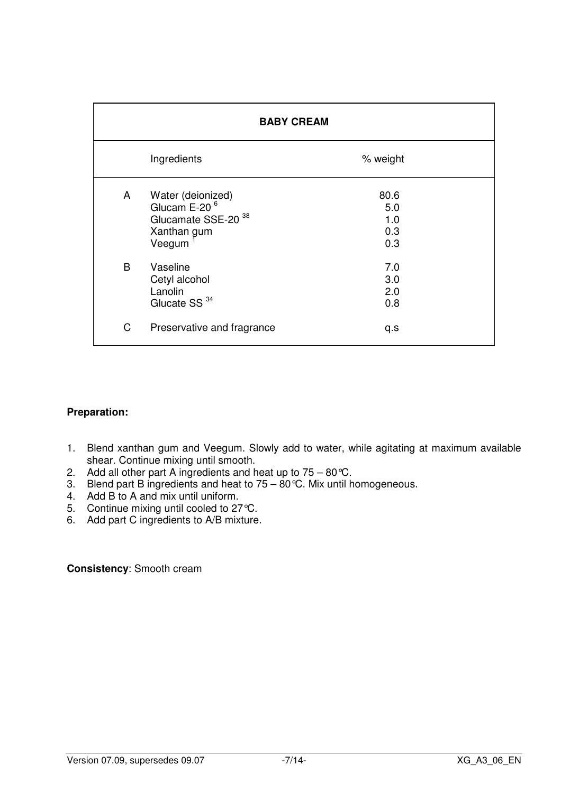| <b>BABY CREAM</b> |                                                                                                          |                                  |
|-------------------|----------------------------------------------------------------------------------------------------------|----------------------------------|
|                   | Ingredients                                                                                              | % weight                         |
| A                 | Water (deionized)<br>Glucam E-20 <sup>6</sup><br>Glucamate SSE-20 <sup>38</sup><br>Xanthan gum<br>Veegum | 80.6<br>5.0<br>1.0<br>0.3<br>0.3 |
| B                 | Vaseline<br>Cetyl alcohol<br>Lanolin<br>Glucate SS <sup>34</sup>                                         | 7.0<br>3.0<br>2.0<br>0.8         |
| C                 | Preservative and fragrance                                                                               | q.s                              |

- 1. Blend xanthan gum and Veegum. Slowly add to water, while agitating at maximum available shear. Continue mixing until smooth.
- 2. Add all other part A ingredients and heat up to  $75 80$ °C.
- 3. Blend part B ingredients and heat to  $75 80$  °C. Mix until homogeneous.
- 4. Add B to A and mix until uniform.
- 5. Continue mixing until cooled to 27°C.
- 6. Add part C ingredients to A/B mixture.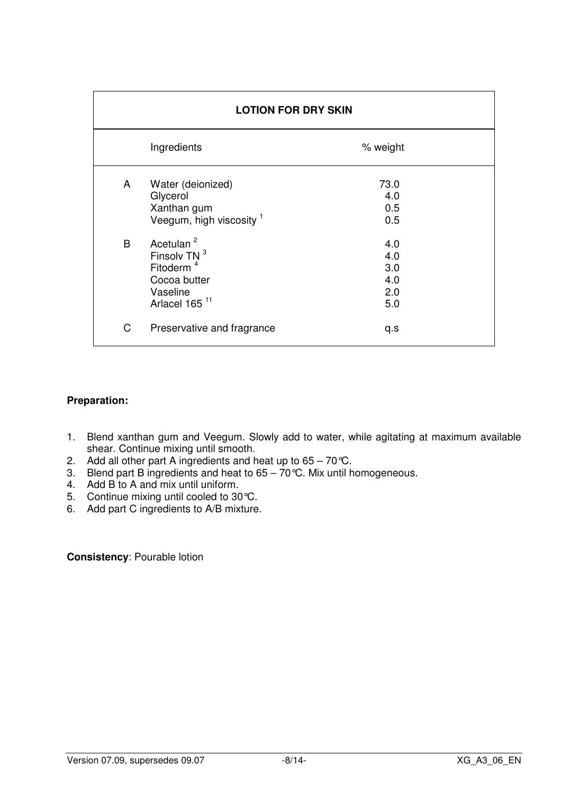| <b>LOTION FOR DRY SKIN</b> |                                                                                                                         |                                        |
|----------------------------|-------------------------------------------------------------------------------------------------------------------------|----------------------------------------|
|                            | Ingredients                                                                                                             | % weight                               |
| A                          | Water (deionized)<br>Glycerol<br>Xanthan gum<br>Veegum, high viscosity <sup>1</sup>                                     | 73.0<br>4.0<br>0.5<br>0.5              |
| B                          | Acetulan <sup>2</sup><br>Finsolv TN 3<br>Fitoderm <sup>4</sup><br>Cocoa butter<br>Vaseline<br>Arlacel 165 <sup>11</sup> | 4.0<br>4.0<br>3.0<br>4.0<br>2.0<br>5.0 |
| C                          | Preservative and fragrance                                                                                              | q.s                                    |

- 1. Blend xanthan gum and Veegum. Slowly add to water, while agitating at maximum available shear. Continue mixing until smooth.
- 2. Add all other part A ingredients and heat up to  $65 70^{\circ}$ C.
- 3. Blend part B ingredients and heat to 65 70°C. Mix until homogeneous.
- 4. Add B to A and mix until uniform.
- 5. Continue mixing until cooled to 30°C.
- 6. Add part C ingredients to A/B mixture.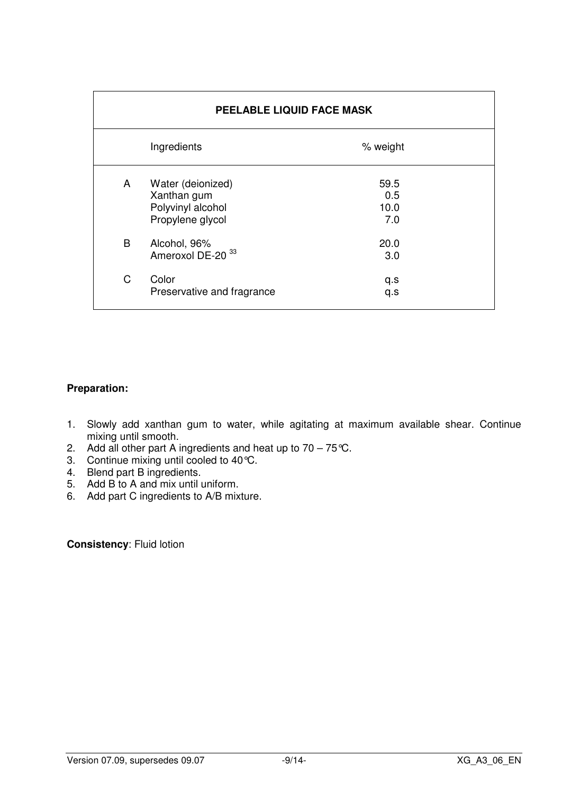| PEELABLE LIQUID FACE MASK |                                                                           |                            |
|---------------------------|---------------------------------------------------------------------------|----------------------------|
|                           | Ingredients                                                               | % weight                   |
| A                         | Water (deionized)<br>Xanthan gum<br>Polyvinyl alcohol<br>Propylene glycol | 59.5<br>0.5<br>10.0<br>7.0 |
| B                         | Alcohol, 96%<br>Ameroxol DE-20 <sup>33</sup>                              | 20.0<br>3.0                |
| C                         | Color<br>Preservative and fragrance                                       | q.s<br>q.s                 |

- 1. Slowly add xanthan gum to water, while agitating at maximum available shear. Continue mixing until smooth.
- 2. Add all other part A ingredients and heat up to  $70 75$ °C.
- 3. Continue mixing until cooled to 40°C.
- 4. Blend part B ingredients.
- 5. Add B to A and mix until uniform.
- 6. Add part C ingredients to A/B mixture.

**Consistency**: Fluid lotion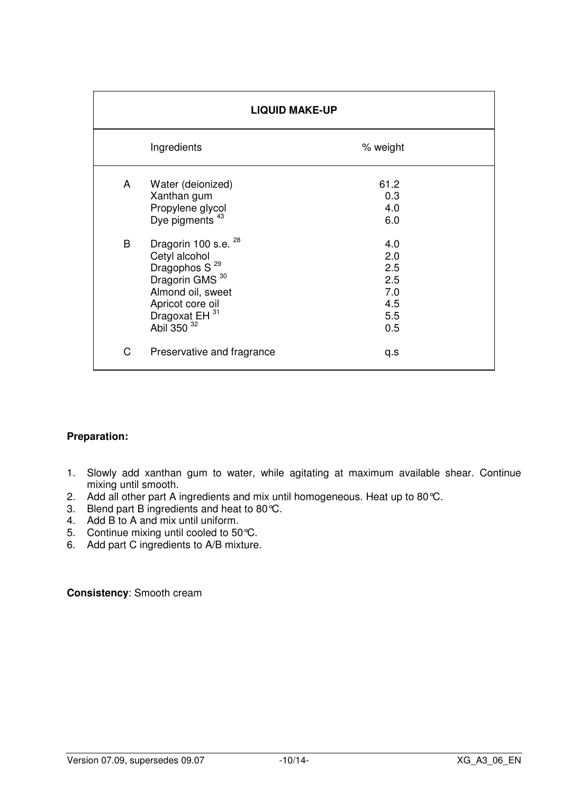| <b>LIQUID MAKE-UP</b> |                                                                                                                                                                                                  |                                                      |  |
|-----------------------|--------------------------------------------------------------------------------------------------------------------------------------------------------------------------------------------------|------------------------------------------------------|--|
|                       | Ingredients<br>% weight                                                                                                                                                                          |                                                      |  |
| A                     | Water (deionized)<br>Xanthan gum<br>Propylene glycol<br>Dye pigments <sup>43</sup>                                                                                                               | 61.2<br>0.3<br>4.0<br>6.0                            |  |
| B                     | Dragorin 100 s.e. <sup>28</sup><br>Cetyl alcohol<br>Dragophos S <sup>29</sup><br>Dragorin GMS <sup>30</sup><br>Almond oil, sweet<br>Apricot core oil<br>Dragoxat EH 31<br>Abil 350 <sup>32</sup> | 4.0<br>2.0<br>2.5<br>2.5<br>7.0<br>4.5<br>5.5<br>0.5 |  |
| C                     | Preservative and fragrance                                                                                                                                                                       | q.s                                                  |  |

- 1. Slowly add xanthan gum to water, while agitating at maximum available shear. Continue mixing until smooth.
- 2. Add all other part A ingredients and mix until homogeneous. Heat up to 80°C.
- 3. Blend part B ingredients and heat to 80°C.
- 4. Add B to A and mix until uniform.
- 5. Continue mixing until cooled to 50 °C.
- 6. Add part C ingredients to A/B mixture.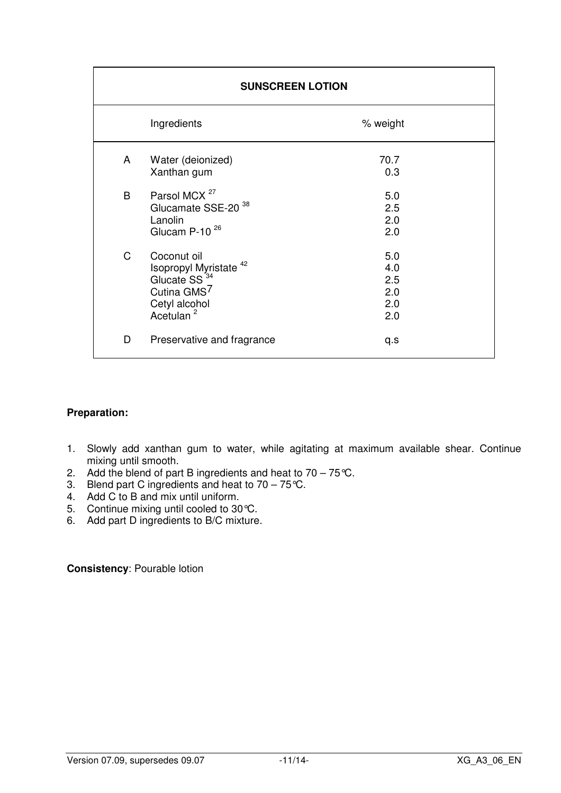| <b>SUNSCREEN LOTION</b> |                                                                                                                                        |                                        |  |
|-------------------------|----------------------------------------------------------------------------------------------------------------------------------------|----------------------------------------|--|
|                         | Ingredients                                                                                                                            | % weight                               |  |
| A                       | Water (deionized)<br>Xanthan gum                                                                                                       | 70.7<br>0.3                            |  |
| B                       | Parsol MCX <sup>27</sup><br>Glucamate SSE-20 <sup>38</sup><br>Lanolin<br>Glucam P-10 <sup>26</sup>                                     | 5.0<br>2.5<br>2.0<br>2.0               |  |
| $\mathsf C$             | Coconut oil<br>Isopropyl Myristate $42$<br>Glucate SS $^{34}_{-}$<br>Cutina GMS <sup>7</sup><br>Cetyl alcohol<br>Acetulan <sup>2</sup> | 5.0<br>4.0<br>2.5<br>2.0<br>2.0<br>2.0 |  |
| D                       | Preservative and fragrance                                                                                                             | q.s                                    |  |

- 1. Slowly add xanthan gum to water, while agitating at maximum available shear. Continue mixing until smooth.
- 2. Add the blend of part B ingredients and heat to  $70 75$ °C.
- 3. Blend part C ingredients and heat to 70 75°C.
- 4. Add C to B and mix until uniform.
- 5. Continue mixing until cooled to 30°C.
- 6. Add part D ingredients to B/C mixture.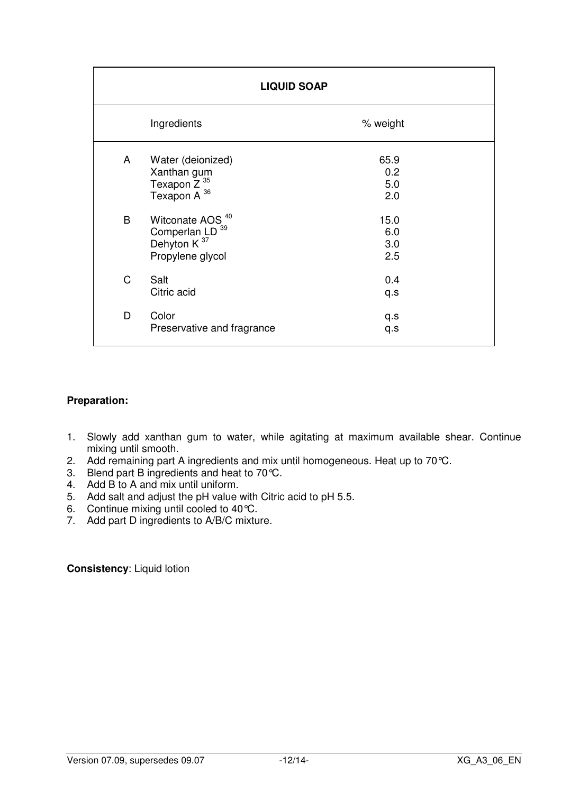| <b>LIQUID SOAP</b>      |                                                                                                          |                           |
|-------------------------|----------------------------------------------------------------------------------------------------------|---------------------------|
| Ingredients<br>% weight |                                                                                                          |                           |
| A                       | Water (deionized)<br>Xanthan gum<br>Texapon Z <sup>35</sup><br>Texapon A <sup>36</sup>                   | 65.9<br>0.2<br>5.0<br>2.0 |
| B                       | Witconate AOS <sup>40</sup><br>Comperlan LD <sup>39</sup><br>Dehyton K <sup>37</sup><br>Propylene glycol | 15.0<br>6.0<br>3.0<br>2.5 |
| $\mathsf C$             | Salt<br>Citric acid                                                                                      | 0.4<br>q.s                |
| D                       | Color<br>Preservative and fragrance                                                                      | q.s<br>q.s                |

- 1. Slowly add xanthan gum to water, while agitating at maximum available shear. Continue mixing until smooth.
- 2. Add remaining part A ingredients and mix until homogeneous. Heat up to 70°C.
- 3. Blend part B ingredients and heat to 70°C.
- 4. Add B to A and mix until uniform.
- 5. Add salt and adjust the pH value with Citric acid to pH 5.5.
- 6. Continue mixing until cooled to 40°C.
- 7. Add part D ingredients to A/B/C mixture.

**Consistency**: Liquid lotion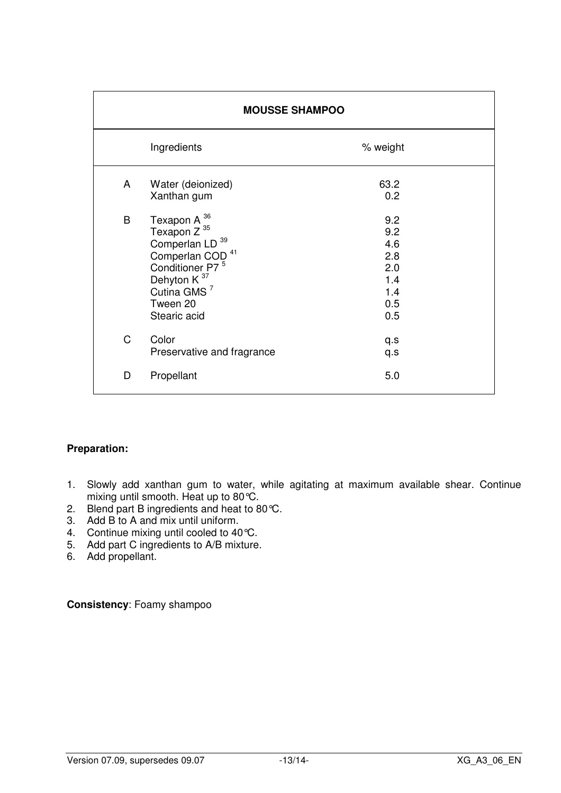| <b>MOUSSE SHAMPOO</b> |                                                                                                                                                                                                                  |                                                             |
|-----------------------|------------------------------------------------------------------------------------------------------------------------------------------------------------------------------------------------------------------|-------------------------------------------------------------|
|                       | Ingredients                                                                                                                                                                                                      | % weight                                                    |
| A                     | Water (deionized)<br>Xanthan gum                                                                                                                                                                                 | 63.2<br>0.2                                                 |
| B                     | Texapon A <sup>36</sup><br>Texapon $Z^{35}$<br>Comperlan LD <sup>39</sup><br>Comperlan COD <sup>41</sup><br>Conditioner P7 <sup>5</sup><br>Dehyton K <sup>37</sup><br>Cutina GMS $7$<br>Tween 20<br>Stearic acid | 9.2<br>9.2<br>4.6<br>2.8<br>2.0<br>1.4<br>1.4<br>0.5<br>0.5 |
| $\mathsf{C}$          | Color<br>Preservative and fragrance                                                                                                                                                                              | q.s<br>q.s                                                  |
| D                     | Propellant                                                                                                                                                                                                       | 5.0                                                         |

- 1. Slowly add xanthan gum to water, while agitating at maximum available shear. Continue mixing until smooth. Heat up to 80°C.
- 2. Blend part B ingredients and heat to 80 °C.
- 3. Add B to A and mix until uniform.
- 4. Continue mixing until cooled to 40 °C.
- 5. Add part C ingredients to A/B mixture.
- 6. Add propellant.

**Consistency**: Foamy shampoo